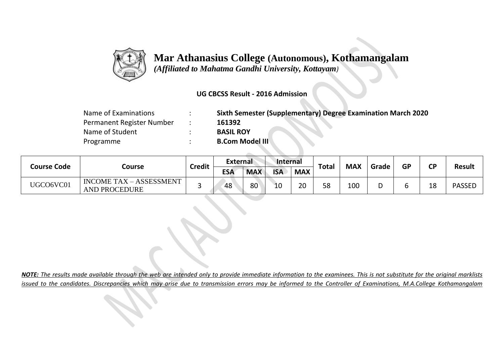

## **Mar Athanasius College (Autonomous), Kothamangalam**

 *(Affiliated to Mahatma Gandhi University, Kottayam)*

### **UG CBCSS Result - 2016 Admission**

| Name of Examinations      | $\bullet$ | Sixth Semester (Supplementary) Degree Examination March 2020 |
|---------------------------|-----------|--------------------------------------------------------------|
| Permanent Register Number |           | 161392                                                       |
| Name of Student           |           | <b>BASIL ROY</b>                                             |
| Programme                 |           | <b>B.Com Model III</b>                                       |

| <b>Course Code</b> | Course                                                 | <b>Credit</b> | <b>External</b> |            | Internal   |            |              |            |       |           |           |               |
|--------------------|--------------------------------------------------------|---------------|-----------------|------------|------------|------------|--------------|------------|-------|-----------|-----------|---------------|
|                    |                                                        |               | ESA             | <b>MAX</b> | <b>ISA</b> | <b>MAX</b> | <b>Total</b> | <b>MAX</b> | Grade | <b>GP</b> | <b>CP</b> | <b>Result</b> |
| UGCO6VC01          | <b>INCOME TAX - ASSESSMENT</b><br><b>AND PROCEDURE</b> |               | 48              | 80         | 10         | 20         | 58           | 100        | ◡     | o         | 18        | <b>PASSED</b> |

*NOTE: The results made available through the web are intended only to provide immediate information to the examinees. This is not substitute for the original marklists issued to the candidates. Discrepancies which may arise due to transmission errors may be informed to the Controller of Examinations, M.A.College Kothamangalam*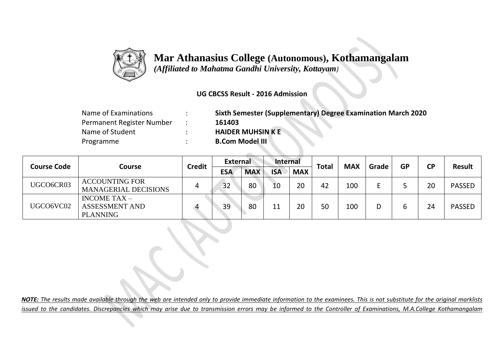

## **Mar Athanasius College (Autonomous), Kothamangalam**

 *(Affiliated to Mahatma Gandhi University, Kottayam)*

#### **UG CBCSS Result - 2016 Admission**

| Name of Examinations      | <b>Sixth Semester (Supplementary) Degree Examination March 2020</b> |
|---------------------------|---------------------------------------------------------------------|
| Permanent Register Number | 161403                                                              |
| Name of Student           | <b>HAIDER MUHSIN K E</b>                                            |
| Programme                 | <b>B.Com Model III</b>                                              |
|                           |                                                                     |

| <b>Course Code</b> | <b>Course</b>                                              | <b>Credit</b> | <b>External</b> |            | Internal   |            | <b>Total</b> | <b>MAX</b> | Grade | <b>GP</b> | <b>CP</b> | <b>Result</b> |
|--------------------|------------------------------------------------------------|---------------|-----------------|------------|------------|------------|--------------|------------|-------|-----------|-----------|---------------|
|                    |                                                            |               | <b>ESA</b>      | <b>MAX</b> | <b>ISA</b> | <b>MAX</b> |              |            |       |           |           |               |
| UGCO6CR03          | <b>ACCOUNTING FOR</b><br><b>MANAGERIAL DECISIONS</b>       |               | 32              | 80         | 10         | 20         | 42           | 100        |       |           | 20        | <b>PASSED</b> |
| UGCO6VC02          | INCOME TAX $-$<br><b>ASSESSMENT AND</b><br><b>PLANNING</b> |               | 39              | 80         | 11         | 20         | 50           | 100        |       | b         | 24        | <b>PASSED</b> |

*NOTE: The results made available through the web are intended only to provide immediate information to the examinees. This is not substitute for the original marklists issued to the candidates. Discrepancies which may arise due to transmission errors may be informed to the Controller of Examinations, M.A.College Kothamangalam*